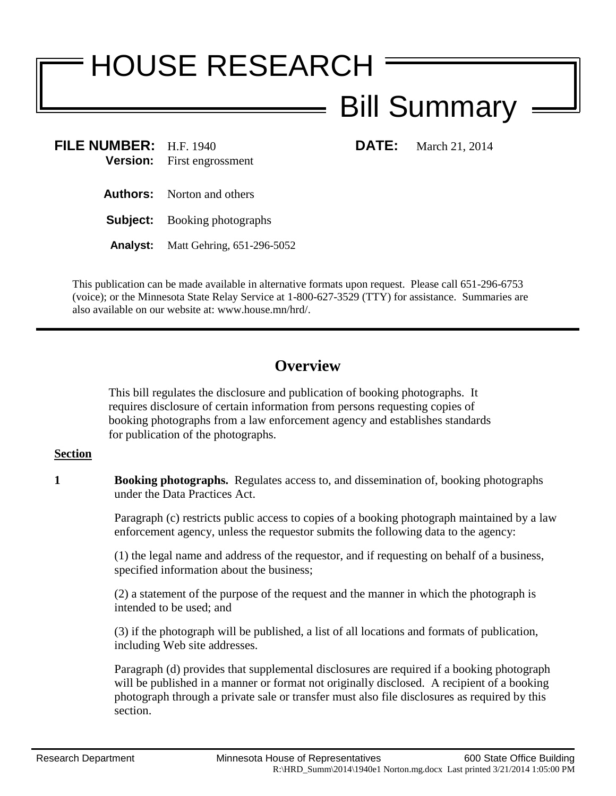# HOUSE RESEARCH

# Bill Summary

**FILE NUMBER:** H.F. 1940 **DATE:** March 21, 2014 **Version:** First engrossment

**Authors:** Norton and others

**Subject:** Booking photographs

**Analyst:** Matt Gehring, 651-296-5052

This publication can be made available in alternative formats upon request. Please call 651-296-6753 (voice); or the Minnesota State Relay Service at 1-800-627-3529 (TTY) for assistance. Summaries are also available on our website at: www.house.mn/hrd/.

## **Overview**

This bill regulates the disclosure and publication of booking photographs. It requires disclosure of certain information from persons requesting copies of booking photographs from a law enforcement agency and establishes standards for publication of the photographs.

### **Section**

**1 Booking photographs.** Regulates access to, and dissemination of, booking photographs under the Data Practices Act.

> Paragraph (c) restricts public access to copies of a booking photograph maintained by a law enforcement agency, unless the requestor submits the following data to the agency:

(1) the legal name and address of the requestor, and if requesting on behalf of a business, specified information about the business;

(2) a statement of the purpose of the request and the manner in which the photograph is intended to be used; and

(3) if the photograph will be published, a list of all locations and formats of publication, including Web site addresses.

Paragraph (d) provides that supplemental disclosures are required if a booking photograph will be published in a manner or format not originally disclosed. A recipient of a booking photograph through a private sale or transfer must also file disclosures as required by this section.